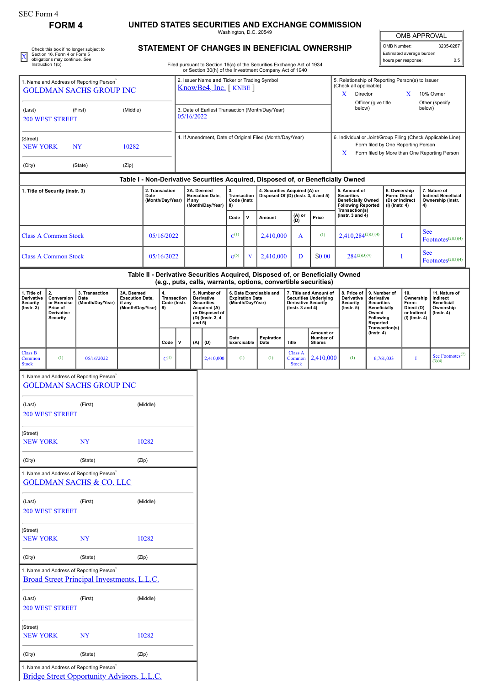## **FORM 4 UNITED STATES SECURITIES AND EXCHANGE COMMISSION**

Washington, D.C. 20549

|                                                                                                              |                                                    |                                                                                        |                                      |                                                                |                    |                            |                                      |                                                     | Washington, D.C. 20549            |           |                                                                                                                                                 |                                                                                                                         |                      |                                                        |                                                                                  |                                            |                                     | <b>OMB APPROVAL</b>                    |                                            |                                                    |
|--------------------------------------------------------------------------------------------------------------|----------------------------------------------------|----------------------------------------------------------------------------------------|--------------------------------------|----------------------------------------------------------------|--------------------|----------------------------|--------------------------------------|-----------------------------------------------------|-----------------------------------|-----------|-------------------------------------------------------------------------------------------------------------------------------------------------|-------------------------------------------------------------------------------------------------------------------------|----------------------|--------------------------------------------------------|----------------------------------------------------------------------------------|--------------------------------------------|-------------------------------------|----------------------------------------|--------------------------------------------|----------------------------------------------------|
|                                                                                                              | Section 16. Form 4 or Form 5                       | Check this box if no longer subject to                                                 |                                      |                                                                |                    |                            |                                      |                                                     |                                   |           | STATEMENT OF CHANGES IN BENEFICIAL OWNERSHIP                                                                                                    |                                                                                                                         |                      |                                                        |                                                                                  |                                            | OMB Number:                         | Estimated average burden               |                                            | 3235-0287                                          |
|                                                                                                              | obligations may continue. See<br>Instruction 1(b). |                                                                                        |                                      |                                                                |                    |                            |                                      |                                                     |                                   |           | Filed pursuant to Section 16(a) of the Securities Exchange Act of 1934                                                                          |                                                                                                                         |                      |                                                        |                                                                                  |                                            |                                     | hours per response:                    |                                            | 0.5                                                |
|                                                                                                              |                                                    | 1. Name and Address of Reporting Person <sup>®</sup>                                   |                                      |                                                                |                    |                            |                                      | 2. Issuer Name and Ticker or Trading Symbol         |                                   |           | or Section 30(h) of the Investment Company Act of 1940                                                                                          |                                                                                                                         |                      |                                                        | 5. Relationship of Reporting Person(s) to Issuer                                 |                                            |                                     |                                        |                                            |                                                    |
| <b>GOLDMAN SACHS GROUP INC</b>                                                                               |                                                    |                                                                                        |                                      | KnowBe4, Inc. [KNBE]                                           |                    |                            |                                      |                                                     |                                   |           |                                                                                                                                                 | (Check all applicable)<br>Director<br>10% Owner<br>X.<br>X<br>Officer (give title<br>Other (specify<br>below)<br>below) |                      |                                                        |                                                                                  |                                            |                                     |                                        |                                            |                                                    |
| (First)<br>(Middle)<br>(Last)<br><b>200 WEST STREET</b>                                                      |                                                    |                                                                                        |                                      | 3. Date of Earliest Transaction (Month/Day/Year)<br>05/16/2022 |                    |                            |                                      |                                                     |                                   |           |                                                                                                                                                 |                                                                                                                         |                      |                                                        |                                                                                  |                                            |                                     |                                        |                                            |                                                    |
|                                                                                                              |                                                    |                                                                                        |                                      |                                                                |                    |                            |                                      |                                                     |                                   |           |                                                                                                                                                 |                                                                                                                         |                      |                                                        |                                                                                  |                                            |                                     |                                        |                                            |                                                    |
| (Street)                                                                                                     |                                                    |                                                                                        |                                      |                                                                |                    |                            |                                      |                                                     |                                   |           | 4. If Amendment, Date of Original Filed (Month/Day/Year)                                                                                        |                                                                                                                         |                      |                                                        | 6. Individual or Joint/Group Filing (Check Applicable Line)                      |                                            |                                     |                                        |                                            |                                                    |
| <b>NEW YORK</b><br><b>NY</b><br>10282                                                                        |                                                    |                                                                                        |                                      |                                                                |                    |                            |                                      |                                                     |                                   |           |                                                                                                                                                 | Form filed by One Reporting Person<br>X<br>Form filed by More than One Reporting Person                                 |                      |                                                        |                                                                                  |                                            |                                     |                                        |                                            |                                                    |
| (City)                                                                                                       |                                                    | (State)                                                                                | (Zip)                                |                                                                |                    |                            |                                      |                                                     |                                   |           |                                                                                                                                                 |                                                                                                                         |                      |                                                        |                                                                                  |                                            |                                     |                                        |                                            |                                                    |
|                                                                                                              |                                                    |                                                                                        |                                      |                                                                |                    |                            |                                      |                                                     |                                   |           |                                                                                                                                                 |                                                                                                                         |                      |                                                        | Table I - Non-Derivative Securities Acquired, Disposed of, or Beneficially Owned |                                            |                                     |                                        |                                            |                                                    |
|                                                                                                              | 1. Title of Security (Instr. 3)                    |                                                                                        |                                      | Date                                                           | 2. Transaction     |                            | 2A. Deemed<br><b>Execution Date.</b> |                                                     | 3.<br>Transaction<br>Code (Instr. |           |                                                                                                                                                 | 4. Securities Acquired (A) or<br>Disposed Of (D) (Instr. 3, 4 and 5)                                                    |                      |                                                        | 5. Amount of<br><b>Securities</b><br><b>Beneficially Owned</b>                   |                                            | 6. Ownership<br>Form: Direct        |                                        | 7. Nature of<br><b>Indirect Beneficial</b> |                                                    |
|                                                                                                              |                                                    |                                                                                        |                                      |                                                                | (Month/Day/Year)   | if any<br>(Month/Day/Year) |                                      |                                                     | 8)                                |           |                                                                                                                                                 |                                                                                                                         |                      | <b>Following Reported</b><br>Transaction(s)            |                                                                                  |                                            | (D) or Indirect<br>$(I)$ (Instr. 4) |                                        | Ownership (Instr.<br>4)                    |                                                    |
|                                                                                                              |                                                    |                                                                                        |                                      |                                                                |                    |                            |                                      |                                                     | Code                              | v         | Amount                                                                                                                                          |                                                                                                                         | (A) or<br>(D)        | Price                                                  | ( $lnstr. 3 and 4$ )                                                             |                                            |                                     |                                        |                                            |                                                    |
|                                                                                                              | <b>Class A Common Stock</b>                        |                                                                                        |                                      |                                                                | 05/16/2022         |                            |                                      | $C^{(1)}$                                           |                                   | 2,410,000 |                                                                                                                                                 | A                                                                                                                       | (1)                  | $2,410,284^{(2)(3)(4)}$                                |                                                                                  | Т                                          |                                     | <b>See</b><br>$ Footnotes^{(2)(3)(4)}$ |                                            |                                                    |
|                                                                                                              |                                                    |                                                                                        |                                      |                                                                |                    |                            |                                      | G <sup>(5)</sup>                                    | V                                 | 2,410,000 |                                                                                                                                                 | D                                                                                                                       | \$0.00               | $284^{(2)(3)(4)}$                                      |                                                                                  | I                                          |                                     | See                                    |                                            |                                                    |
| <b>Class A Common Stock</b><br>05/16/2022                                                                    |                                                    |                                                                                        |                                      |                                                                |                    |                            |                                      |                                                     |                                   |           |                                                                                                                                                 |                                                                                                                         |                      |                                                        |                                                                                  |                                            | Footnotes <sup>(2)(3)(4)</sup>      |                                        |                                            |                                                    |
|                                                                                                              |                                                    |                                                                                        |                                      |                                                                |                    |                            |                                      |                                                     |                                   |           | Table II - Derivative Securities Acquired, Disposed of, or Beneficially Owned<br>(e.g., puts, calls, warrants, options, convertible securities) |                                                                                                                         |                      |                                                        |                                                                                  |                                            |                                     |                                        |                                            |                                                    |
| 1. Title of<br>Derivative                                                                                    | 2.<br>Conversion                                   | 3. Transaction<br>Date                                                                 | 3A. Deemed<br><b>Execution Date,</b> |                                                                | 4.<br>Transaction  |                            |                                      | 5. Number of<br>Derivative                          | <b>Expiration Date</b>            |           | 6. Date Exercisable and                                                                                                                         |                                                                                                                         |                      | 7. Title and Amount of<br><b>Securities Underlying</b> | 8. Price of<br>Derivative                                                        | 9. Number of<br>derivative                 |                                     | 10.<br>Ownership                       |                                            | 11. Nature of<br>Indirect                          |
| or Exercise<br>(Month/Day/Year)<br>Security<br>$($ Instr. 3 $)$<br>Price of<br>Derivative<br><b>Security</b> |                                                    |                                                                                        | if any<br>(Month/Day/Year)           |                                                                | Code (Instr.<br>8) |                            |                                      | <b>Securities</b><br>Acquired (A)<br>or Disposed of | (Month/Day/Year)                  |           |                                                                                                                                                 |                                                                                                                         | ( $lnstr. 3 and 4$ ) | <b>Derivative Security</b>                             | <b>Security</b><br>$($ Instr. 5 $)$                                              | <b>Securities</b><br>Beneficially<br>Owned |                                     | Form:<br>Direct (D)<br>or Indirect     |                                            | <b>Beneficial</b><br>Ownership<br>$($ lnstr. 4 $)$ |
|                                                                                                              |                                                    |                                                                                        |                                      |                                                                |                    |                            | (D) (Instr. 3, 4<br>and $5)$         |                                                     |                                   |           |                                                                                                                                                 |                                                                                                                         |                      |                                                        |                                                                                  | Following<br>Reported                      | Transaction(s)                      | (I) (Instr. 4)                         |                                            |                                                    |
|                                                                                                              |                                                    |                                                                                        |                                      |                                                                | Code               | V                          | (A)                                  | (D)                                                 | Date<br>Exercisable               |           | Expiration<br>Date                                                                                                                              | <b>Title</b>                                                                                                            |                      | Amount or<br>Number of<br><b>Shares</b>                |                                                                                  | $($ Instr. 4 $)$                           |                                     |                                        |                                            |                                                    |
| <b>Class B</b><br>Common                                                                                     | (1)                                                | 05/16/2022                                                                             |                                      |                                                                | $C^{(1)}$          |                            |                                      | 2,410,000                                           | (1)                               |           | (1)                                                                                                                                             |                                                                                                                         | Class A<br>Common    | 2,410,000                                              | (1)                                                                              |                                            | 6,761,033                           | $\bf{I}$                               |                                            | See Footnotes $^{(2)}$                             |
| <b>Stock</b>                                                                                                 |                                                    |                                                                                        |                                      |                                                                |                    |                            |                                      |                                                     |                                   |           |                                                                                                                                                 |                                                                                                                         | <b>Stock</b>         |                                                        |                                                                                  |                                            |                                     |                                        |                                            | (3)(4)                                             |
|                                                                                                              |                                                    | 1. Name and Address of Reporting Person <sup>®</sup><br><b>GOLDMAN SACHS GROUP INC</b> |                                      |                                                                |                    |                            |                                      |                                                     |                                   |           |                                                                                                                                                 |                                                                                                                         |                      |                                                        |                                                                                  |                                            |                                     |                                        |                                            |                                                    |
|                                                                                                              |                                                    |                                                                                        |                                      |                                                                |                    |                            |                                      |                                                     |                                   |           |                                                                                                                                                 |                                                                                                                         |                      |                                                        |                                                                                  |                                            |                                     |                                        |                                            |                                                    |
| (Last)                                                                                                       | <b>200 WEST STREET</b>                             | (First)                                                                                |                                      | (Middle)                                                       |                    |                            |                                      |                                                     |                                   |           |                                                                                                                                                 |                                                                                                                         |                      |                                                        |                                                                                  |                                            |                                     |                                        |                                            |                                                    |
|                                                                                                              |                                                    |                                                                                        |                                      |                                                                |                    |                            |                                      |                                                     |                                   |           |                                                                                                                                                 |                                                                                                                         |                      |                                                        |                                                                                  |                                            |                                     |                                        |                                            |                                                    |
| (Street)<br><b>NEW YORK</b>                                                                                  |                                                    | <b>NY</b>                                                                              |                                      | 10282                                                          |                    |                            |                                      |                                                     |                                   |           |                                                                                                                                                 |                                                                                                                         |                      |                                                        |                                                                                  |                                            |                                     |                                        |                                            |                                                    |
|                                                                                                              |                                                    |                                                                                        |                                      |                                                                |                    |                            |                                      |                                                     |                                   |           |                                                                                                                                                 |                                                                                                                         |                      |                                                        |                                                                                  |                                            |                                     |                                        |                                            |                                                    |
| (City)                                                                                                       |                                                    | (State)<br>1. Name and Address of Reporting Person <sup>*</sup>                        | (Zip)                                |                                                                |                    |                            |                                      |                                                     |                                   |           |                                                                                                                                                 |                                                                                                                         |                      |                                                        |                                                                                  |                                            |                                     |                                        |                                            |                                                    |
|                                                                                                              |                                                    | <b>GOLDMAN SACHS &amp; CO. LLC</b>                                                     |                                      |                                                                |                    |                            |                                      |                                                     |                                   |           |                                                                                                                                                 |                                                                                                                         |                      |                                                        |                                                                                  |                                            |                                     |                                        |                                            |                                                    |
| (Last)                                                                                                       |                                                    | (First)                                                                                |                                      | (Middle)                                                       |                    |                            |                                      |                                                     |                                   |           |                                                                                                                                                 |                                                                                                                         |                      |                                                        |                                                                                  |                                            |                                     |                                        |                                            |                                                    |
|                                                                                                              | <b>200 WEST STREET</b>                             |                                                                                        |                                      |                                                                |                    |                            |                                      |                                                     |                                   |           |                                                                                                                                                 |                                                                                                                         |                      |                                                        |                                                                                  |                                            |                                     |                                        |                                            |                                                    |
| (Street)                                                                                                     |                                                    |                                                                                        |                                      |                                                                |                    |                            |                                      |                                                     |                                   |           |                                                                                                                                                 |                                                                                                                         |                      |                                                        |                                                                                  |                                            |                                     |                                        |                                            |                                                    |
| <b>NEW YORK</b>                                                                                              |                                                    | <b>NY</b>                                                                              |                                      | 10282                                                          |                    |                            |                                      |                                                     |                                   |           |                                                                                                                                                 |                                                                                                                         |                      |                                                        |                                                                                  |                                            |                                     |                                        |                                            |                                                    |
| (City)                                                                                                       |                                                    | (State)                                                                                |                                      | (Zip)                                                          |                    |                            |                                      |                                                     |                                   |           |                                                                                                                                                 |                                                                                                                         |                      |                                                        |                                                                                  |                                            |                                     |                                        |                                            |                                                    |
|                                                                                                              |                                                    | 1. Name and Address of Reporting Person <sup>®</sup>                                   |                                      |                                                                |                    |                            |                                      |                                                     |                                   |           |                                                                                                                                                 |                                                                                                                         |                      |                                                        |                                                                                  |                                            |                                     |                                        |                                            |                                                    |
|                                                                                                              |                                                    | Broad Street Principal Investments, L.L.C.                                             |                                      |                                                                |                    |                            |                                      |                                                     |                                   |           |                                                                                                                                                 |                                                                                                                         |                      |                                                        |                                                                                  |                                            |                                     |                                        |                                            |                                                    |
| (Last)                                                                                                       |                                                    | (First)                                                                                |                                      | (Middle)                                                       |                    |                            |                                      |                                                     |                                   |           |                                                                                                                                                 |                                                                                                                         |                      |                                                        |                                                                                  |                                            |                                     |                                        |                                            |                                                    |
|                                                                                                              | <b>200 WEST STREET</b>                             |                                                                                        |                                      |                                                                |                    |                            |                                      |                                                     |                                   |           |                                                                                                                                                 |                                                                                                                         |                      |                                                        |                                                                                  |                                            |                                     |                                        |                                            |                                                    |
| (Street)                                                                                                     |                                                    |                                                                                        |                                      |                                                                |                    |                            |                                      |                                                     |                                   |           |                                                                                                                                                 |                                                                                                                         |                      |                                                        |                                                                                  |                                            |                                     |                                        |                                            |                                                    |
| <b>NEW YORK</b>                                                                                              |                                                    | <b>NY</b>                                                                              |                                      | 10282                                                          |                    |                            |                                      |                                                     |                                   |           |                                                                                                                                                 |                                                                                                                         |                      |                                                        |                                                                                  |                                            |                                     |                                        |                                            |                                                    |
| (City)                                                                                                       |                                                    | (State)                                                                                |                                      | (Zip)                                                          |                    |                            |                                      |                                                     |                                   |           |                                                                                                                                                 |                                                                                                                         |                      |                                                        |                                                                                  |                                            |                                     |                                        |                                            |                                                    |
|                                                                                                              |                                                    | 1. Name and Address of Reporting Person <sup>®</sup>                                   |                                      |                                                                |                    |                            |                                      |                                                     |                                   |           |                                                                                                                                                 |                                                                                                                         |                      |                                                        |                                                                                  |                                            |                                     |                                        |                                            |                                                    |

[Bridge Street Opportunity Advisors, L.L.C.](http://www.sec.gov/cgi-bin/browse-edgar?action=getcompany&CIK=0001615636)